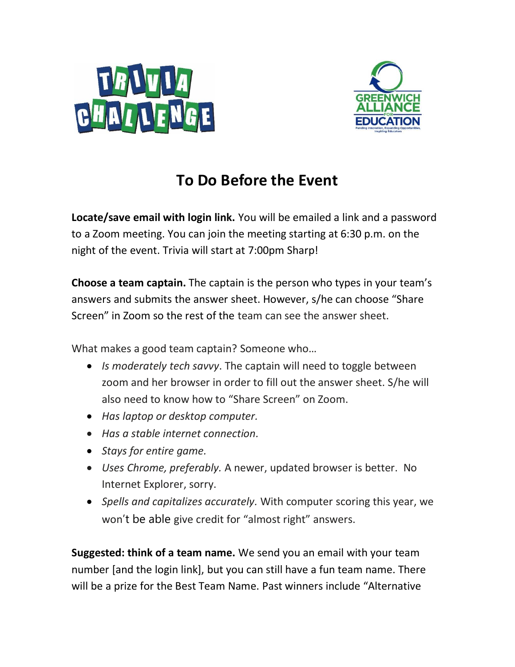



## **To Do Before the Event**

**Locate/save email with login link.** You will be emailed a link and a password to a Zoom meeting. You can join the meeting starting at 6:30 p.m. on the night of the event. Trivia will start at 7:00pm Sharp!

**Choose a team captain.** The captain is the person who types in your team's answers and submits the answer sheet. However, s/he can choose "Share Screen" in Zoom so the rest of the team can see the answer sheet.

What makes a good team captain? Someone who…

- *Is moderately tech savvy*. The captain will need to toggle between zoom and her browser in order to fill out the answer sheet. S/he will also need to know how to "Share Screen" on Zoom.
- *Has laptop or desktop computer.*
- *Has a stable internet connection.*
- *Stays for entire game.*
- *Uses Chrome, preferably.* A newer, updated browser is better. No Internet Explorer, sorry.
- *Spells and capitalizes accurately.* With computer scoring this year, we won't be able give credit for "almost right" answers.

**Suggested: think of a team name.** We send you an email with your team number [and the login link], but you can still have a fun team name. There will be a prize for the Best Team Name. Past winners include "Alternative